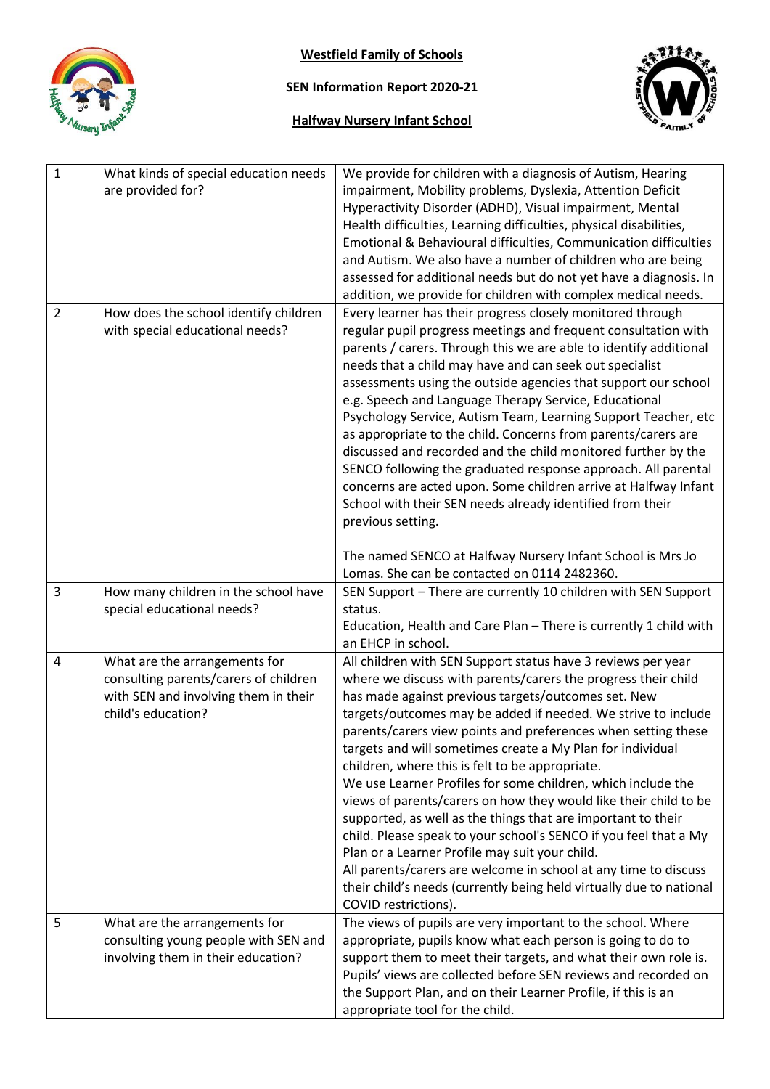

**Westfield Family of Schools**

# **SEN Information Report 2020-21**

# **Halfway Nursery Infant School**



| $\mathbf{1}$   | What kinds of special education needs<br>are provided for?                                                                           | We provide for children with a diagnosis of Autism, Hearing<br>impairment, Mobility problems, Dyslexia, Attention Deficit<br>Hyperactivity Disorder (ADHD), Visual impairment, Mental<br>Health difficulties, Learning difficulties, physical disabilities,<br>Emotional & Behavioural difficulties, Communication difficulties<br>and Autism. We also have a number of children who are being<br>assessed for additional needs but do not yet have a diagnosis. In<br>addition, we provide for children with complex medical needs.                                                                                                                                                                                                                                                                                                                                                                                                |
|----------------|--------------------------------------------------------------------------------------------------------------------------------------|-------------------------------------------------------------------------------------------------------------------------------------------------------------------------------------------------------------------------------------------------------------------------------------------------------------------------------------------------------------------------------------------------------------------------------------------------------------------------------------------------------------------------------------------------------------------------------------------------------------------------------------------------------------------------------------------------------------------------------------------------------------------------------------------------------------------------------------------------------------------------------------------------------------------------------------|
| $\overline{2}$ | How does the school identify children<br>with special educational needs?                                                             | Every learner has their progress closely monitored through<br>regular pupil progress meetings and frequent consultation with<br>parents / carers. Through this we are able to identify additional<br>needs that a child may have and can seek out specialist<br>assessments using the outside agencies that support our school<br>e.g. Speech and Language Therapy Service, Educational<br>Psychology Service, Autism Team, Learning Support Teacher, etc<br>as appropriate to the child. Concerns from parents/carers are<br>discussed and recorded and the child monitored further by the<br>SENCO following the graduated response approach. All parental<br>concerns are acted upon. Some children arrive at Halfway Infant<br>School with their SEN needs already identified from their<br>previous setting.                                                                                                                   |
|                |                                                                                                                                      | The named SENCO at Halfway Nursery Infant School is Mrs Jo<br>Lomas. She can be contacted on 0114 2482360.                                                                                                                                                                                                                                                                                                                                                                                                                                                                                                                                                                                                                                                                                                                                                                                                                          |
| 3              | How many children in the school have<br>special educational needs?                                                                   | SEN Support - There are currently 10 children with SEN Support<br>status.<br>Education, Health and Care Plan - There is currently 1 child with<br>an EHCP in school.                                                                                                                                                                                                                                                                                                                                                                                                                                                                                                                                                                                                                                                                                                                                                                |
| $\overline{4}$ | What are the arrangements for<br>consulting parents/carers of children<br>with SEN and involving them in their<br>child's education? | All children with SEN Support status have 3 reviews per year<br>where we discuss with parents/carers the progress their child<br>has made against previous targets/outcomes set. New<br>targets/outcomes may be added if needed. We strive to include<br>parents/carers view points and preferences when setting these<br>targets and will sometimes create a My Plan for individual<br>children, where this is felt to be appropriate.<br>We use Learner Profiles for some children, which include the<br>views of parents/carers on how they would like their child to be<br>supported, as well as the things that are important to their<br>child. Please speak to your school's SENCO if you feel that a My<br>Plan or a Learner Profile may suit your child.<br>All parents/carers are welcome in school at any time to discuss<br>their child's needs (currently being held virtually due to national<br>COVID restrictions). |
| 5              | What are the arrangements for<br>consulting young people with SEN and<br>involving them in their education?                          | The views of pupils are very important to the school. Where<br>appropriate, pupils know what each person is going to do to<br>support them to meet their targets, and what their own role is.<br>Pupils' views are collected before SEN reviews and recorded on<br>the Support Plan, and on their Learner Profile, if this is an<br>appropriate tool for the child.                                                                                                                                                                                                                                                                                                                                                                                                                                                                                                                                                                 |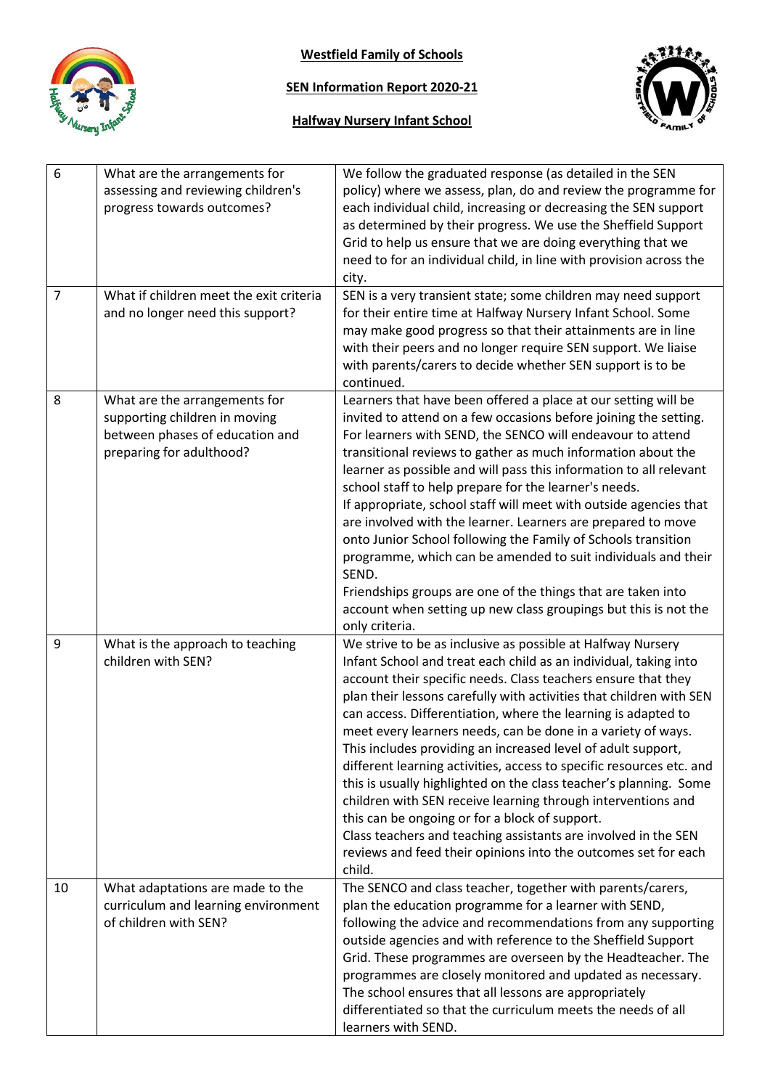

**Westfield Family of Schools**

### **SEN Information Report 2020-21**





| 6<br>$\overline{7}$ | What are the arrangements for<br>assessing and reviewing children's<br>progress towards outcomes?<br>What if children meet the exit criteria | We follow the graduated response (as detailed in the SEN<br>policy) where we assess, plan, do and review the programme for<br>each individual child, increasing or decreasing the SEN support<br>as determined by their progress. We use the Sheffield Support<br>Grid to help us ensure that we are doing everything that we<br>need to for an individual child, in line with provision across the<br>city.<br>SEN is a very transient state; some children may need support                                                                                                                                                                                                                                                                                                                                                                                                         |
|---------------------|----------------------------------------------------------------------------------------------------------------------------------------------|---------------------------------------------------------------------------------------------------------------------------------------------------------------------------------------------------------------------------------------------------------------------------------------------------------------------------------------------------------------------------------------------------------------------------------------------------------------------------------------------------------------------------------------------------------------------------------------------------------------------------------------------------------------------------------------------------------------------------------------------------------------------------------------------------------------------------------------------------------------------------------------|
|                     | and no longer need this support?                                                                                                             | for their entire time at Halfway Nursery Infant School. Some<br>may make good progress so that their attainments are in line<br>with their peers and no longer require SEN support. We liaise<br>with parents/carers to decide whether SEN support is to be<br>continued.                                                                                                                                                                                                                                                                                                                                                                                                                                                                                                                                                                                                             |
| 8                   | What are the arrangements for<br>supporting children in moving<br>between phases of education and<br>preparing for adulthood?                | Learners that have been offered a place at our setting will be<br>invited to attend on a few occasions before joining the setting.<br>For learners with SEND, the SENCO will endeavour to attend<br>transitional reviews to gather as much information about the<br>learner as possible and will pass this information to all relevant<br>school staff to help prepare for the learner's needs.<br>If appropriate, school staff will meet with outside agencies that<br>are involved with the learner. Learners are prepared to move<br>onto Junior School following the Family of Schools transition<br>programme, which can be amended to suit individuals and their<br>SEND.<br>Friendships groups are one of the things that are taken into<br>account when setting up new class groupings but this is not the<br>only criteria.                                                  |
| 9                   | What is the approach to teaching<br>children with SEN?                                                                                       | We strive to be as inclusive as possible at Halfway Nursery<br>Infant School and treat each child as an individual, taking into<br>account their specific needs. Class teachers ensure that they<br>plan their lessons carefully with activities that children with SEN<br>can access. Differentiation, where the learning is adapted to<br>meet every learners needs, can be done in a variety of ways.<br>This includes providing an increased level of adult support,<br>different learning activities, access to specific resources etc. and<br>this is usually highlighted on the class teacher's planning. Some<br>children with SEN receive learning through interventions and<br>this can be ongoing or for a block of support.<br>Class teachers and teaching assistants are involved in the SEN<br>reviews and feed their opinions into the outcomes set for each<br>child. |
| 10                  | What adaptations are made to the<br>curriculum and learning environment<br>of children with SEN?                                             | The SENCO and class teacher, together with parents/carers,<br>plan the education programme for a learner with SEND,<br>following the advice and recommendations from any supporting<br>outside agencies and with reference to the Sheffield Support<br>Grid. These programmes are overseen by the Headteacher. The<br>programmes are closely monitored and updated as necessary.<br>The school ensures that all lessons are appropriately<br>differentiated so that the curriculum meets the needs of all<br>learners with SEND.                                                                                                                                                                                                                                                                                                                                                      |